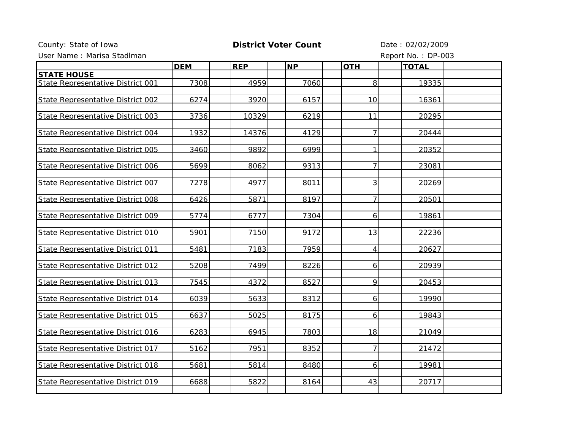## County: State of Iowa **District Voter Count** Date : 02/02/2009

User Name : Marisa Stadiman **Report No. : DP-003** 

|                                   | <b>DEM</b> | <b>REP</b> | <b>NP</b> | <b>OTH</b>     | <b>TOTAL</b> |  |
|-----------------------------------|------------|------------|-----------|----------------|--------------|--|
| <b>STATE HOUSE</b>                |            |            |           |                |              |  |
| State Representative District 001 | 7308       | 4959       | 7060      | 8              | 19335        |  |
|                                   |            |            |           |                |              |  |
| State Representative District 002 | 6274       | 3920       | 6157      | 10             | 16361        |  |
|                                   |            |            |           |                |              |  |
| State Representative District 003 | 3736       | 10329      | 6219      | 11             | 20295        |  |
|                                   |            |            |           |                |              |  |
| State Representative District 004 | 1932       | 14376      | 4129      | $\overline{7}$ | 20444        |  |
|                                   |            |            |           |                |              |  |
| State Representative District 005 | 3460       | 9892       | 6999      | $\mathbf{1}$   | 20352        |  |
| State Representative District 006 | 5699       | 8062       | 9313      | $\overline{7}$ | 23081        |  |
|                                   |            |            |           |                |              |  |
| State Representative District 007 | 7278       | 4977       | 8011      | 3              | 20269        |  |
|                                   |            |            |           |                |              |  |
| State Representative District 008 | 6426       | 5871       | 8197      | $\overline{7}$ | 20501        |  |
|                                   |            |            |           |                |              |  |
| State Representative District 009 | 5774       | 6777       | 7304      | 6              | 19861        |  |
|                                   |            |            |           |                |              |  |
| State Representative District 010 | 5901       | 7150       | 9172      | 13             | 22236        |  |
|                                   |            |            |           |                |              |  |
| State Representative District 011 | 5481       | 7183       | 7959      | 4              | 20627        |  |
|                                   |            |            |           |                |              |  |
| State Representative District 012 | 5208       | 7499       | 8226      | 6              | 20939        |  |
|                                   |            |            |           | 9              |              |  |
| State Representative District 013 | 7545       | 4372       | 8527      |                | 20453        |  |
| State Representative District 014 | 6039       | 5633       | 8312      | 6              | 19990        |  |
|                                   |            |            |           |                |              |  |
| State Representative District 015 | 6637       | 5025       | 8175      | 6              | 19843        |  |
|                                   |            |            |           |                |              |  |
| State Representative District 016 | 6283       | 6945       | 7803      | 18             | 21049        |  |
|                                   |            |            |           |                |              |  |
| State Representative District 017 | 5162       | 7951       | 8352      | $\overline{7}$ | 21472        |  |
|                                   |            |            |           |                |              |  |
| State Representative District 018 | 5681       | 5814       | 8480      | 6              | 19981        |  |
|                                   |            |            |           |                |              |  |
| State Representative District 019 | 6688       | 5822       | 8164      | 43             | 20717        |  |
|                                   |            |            |           |                |              |  |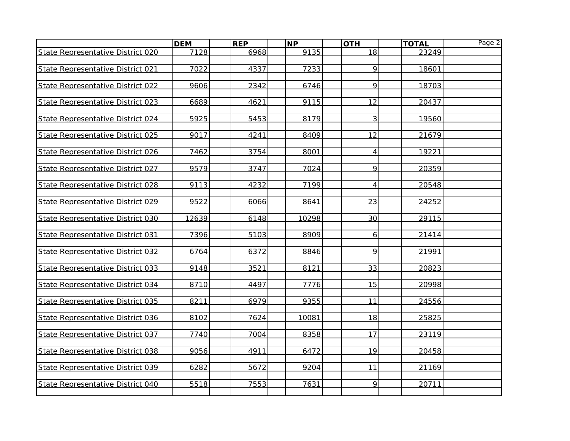|                                   | <b>DEM</b> | <b>REP</b> | <b>NP</b> | <b>OTH</b>     | <b>TOTAL</b> | Page 2 |
|-----------------------------------|------------|------------|-----------|----------------|--------------|--------|
| State Representative District 020 | 7128       | 6968       | 9135      | 18             | 23249        |        |
|                                   |            |            |           |                |              |        |
| State Representative District 021 | 7022       | 4337       | 7233      | 9              | 18601        |        |
|                                   |            |            |           |                |              |        |
| State Representative District 022 | 9606       | 2342       | 6746      | 9              | 18703        |        |
| State Representative District 023 | 6689       | 4621       | 9115      | 12             | 20437        |        |
|                                   |            |            |           |                |              |        |
| State Representative District 024 | 5925       | 5453       | 8179      | 3              | 19560        |        |
|                                   |            |            |           |                |              |        |
| State Representative District 025 | 9017       | 4241       | 8409      | 12             | 21679        |        |
|                                   |            |            |           |                |              |        |
| State Representative District 026 | 7462       | 3754       | 8001      | 4              | 19221        |        |
|                                   |            |            |           |                |              |        |
| State Representative District 027 | 9579       | 3747       | 7024      | 9              | 20359        |        |
| State Representative District 028 | 9113       | 4232       | 7199      | $\overline{4}$ | 20548        |        |
|                                   |            |            |           |                |              |        |
| State Representative District 029 | 9522       | 6066       | 8641      | 23             | 24252        |        |
|                                   |            |            |           |                |              |        |
| State Representative District 030 | 12639      | 6148       | 10298     | 30             | 29115        |        |
|                                   |            |            |           |                |              |        |
| State Representative District 031 | 7396       | 5103       | 8909      | 6              | 21414        |        |
| State Representative District 032 | 6764       | 6372       | 8846      | 9              | 21991        |        |
|                                   |            |            |           |                |              |        |
| State Representative District 033 | 9148       | 3521       | 8121      | 33             | 20823        |        |
|                                   |            |            |           |                |              |        |
| State Representative District 034 | 8710       | 4497       | 7776      | 15             | 20998        |        |
|                                   |            |            |           |                |              |        |
| State Representative District 035 | 8211       | 6979       | 9355      | 11             | 24556        |        |
|                                   |            |            |           |                |              |        |
| State Representative District 036 | 8102       | 7624       | 10081     | 18             | 25825        |        |
| State Representative District 037 | 7740       | 7004       | 8358      | 17             | 23119        |        |
|                                   |            |            |           |                |              |        |
| State Representative District 038 | 9056       | 4911       | 6472      | 19             | 20458        |        |
|                                   |            |            |           |                |              |        |
| State Representative District 039 | 6282       | 5672       | 9204      | 11             | 21169        |        |
|                                   |            |            |           |                |              |        |
| State Representative District 040 | 5518       | 7553       | 7631      | 9              | 20711        |        |
|                                   |            |            |           |                |              |        |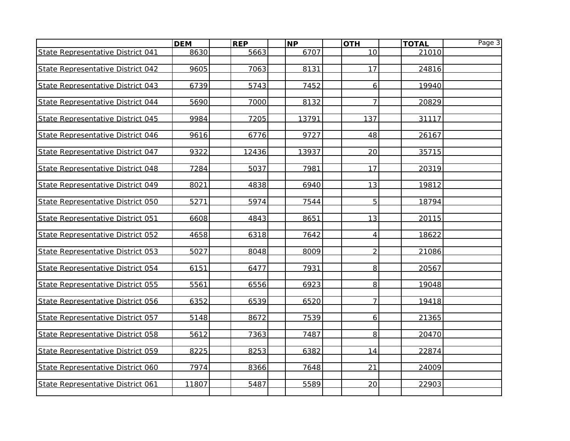|                                   | <b>DEM</b> | <b>REP</b> | $\overline{\mathsf{NP}}$ | <b>OTH</b>     | <b>TOTAL</b> | Page 3 |
|-----------------------------------|------------|------------|--------------------------|----------------|--------------|--------|
| State Representative District 041 | 8630       | 5663       | 6707                     | 10             | 21010        |        |
|                                   |            |            |                          |                |              |        |
| State Representative District 042 | 9605       | 7063       | 8131                     | 17             | 24816        |        |
| State Representative District 043 | 6739       | 5743       | 7452                     | 6              | 19940        |        |
|                                   |            |            |                          |                |              |        |
| State Representative District 044 | 5690       | 7000       | 8132                     | $\overline{7}$ | 20829        |        |
|                                   |            |            |                          |                |              |        |
| State Representative District 045 | 9984       | 7205       | 13791                    | 137            | 31117        |        |
|                                   |            |            |                          |                |              |        |
| State Representative District 046 | 9616       | 6776       | 9727                     | 48             | 26167        |        |
|                                   | 9322       | 12436      |                          | 20             | 35715        |        |
| State Representative District 047 |            |            | 13937                    |                |              |        |
| State Representative District 048 | 7284       | 5037       | 7981                     | 17             | 20319        |        |
|                                   |            |            |                          |                |              |        |
| State Representative District 049 | 8021       | 4838       | 6940                     | 13             | 19812        |        |
|                                   |            |            |                          |                |              |        |
| State Representative District 050 | 5271       | 5974       | 7544                     | 5              | 18794        |        |
|                                   |            |            |                          |                |              |        |
| State Representative District 051 | 6608       | 4843       | 8651                     | 13             | 20115        |        |
| State Representative District 052 | 4658       | 6318       | 7642                     | 4              | 18622        |        |
|                                   |            |            |                          |                |              |        |
| State Representative District 053 | 5027       | 8048       | 8009                     | $\overline{2}$ | 21086        |        |
|                                   |            |            |                          |                |              |        |
| State Representative District 054 | 6151       | 6477       | 7931                     | 8              | 20567        |        |
|                                   |            |            |                          |                |              |        |
| State Representative District 055 | 5561       | 6556       | 6923                     | 8              | 19048        |        |
| State Representative District 056 | 6352       | 6539       | 6520                     | $\overline{7}$ | 19418        |        |
|                                   |            |            |                          |                |              |        |
| State Representative District 057 | 5148       | 8672       | 7539                     | 6              | 21365        |        |
|                                   |            |            |                          |                |              |        |
| State Representative District 058 | 5612       | 7363       | 7487                     | 8 <sup>1</sup> | 20470        |        |
|                                   |            |            |                          |                |              |        |
| State Representative District 059 | 8225       | 8253       | 6382                     | 14             | 22874        |        |
| State Representative District 060 | 7974       | 8366       | 7648                     | 21             | 24009        |        |
|                                   |            |            |                          |                |              |        |
| State Representative District 061 | 11807      | 5487       | 5589                     | 20             | 22903        |        |
|                                   |            |            |                          |                |              |        |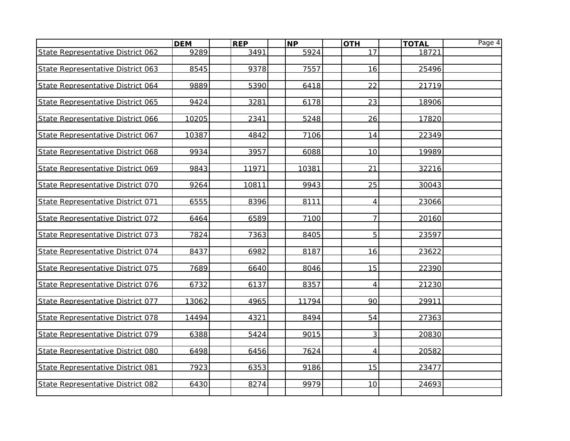|                                   | <b>DEM</b> | <b>REP</b> | NP    | <b>OTH</b>     | <b>TOTAL</b> | Page 4 |
|-----------------------------------|------------|------------|-------|----------------|--------------|--------|
| State Representative District 062 | 9289       | 3491       | 5924  | 17             | 18721        |        |
|                                   |            |            |       |                |              |        |
| State Representative District 063 | 8545       | 9378       | 7557  | 16             | 25496        |        |
|                                   |            |            |       |                |              |        |
| State Representative District 064 | 9889       | 5390       | 6418  | 22             | 21719        |        |
|                                   |            |            |       |                |              |        |
| State Representative District 065 | 9424       | 3281       | 6178  | 23             | 18906        |        |
| State Representative District 066 | 10205      | 2341       | 5248  | 26             | 17820        |        |
|                                   |            |            |       |                |              |        |
| State Representative District 067 | 10387      | 4842       | 7106  | 14             | 22349        |        |
|                                   |            |            |       |                |              |        |
| State Representative District 068 | 9934       | 3957       | 6088  | 10             | 19989        |        |
|                                   |            |            |       |                |              |        |
| State Representative District 069 | 9843       | 11971      | 10381 | 21             | 32216        |        |
|                                   |            |            |       |                |              |        |
| State Representative District 070 | 9264       | 10811      | 9943  | 25             | 30043        |        |
|                                   |            |            |       |                |              |        |
| State Representative District 071 | 6555       | 8396       | 8111  | $\overline{4}$ | 23066        |        |
| State Representative District 072 | 6464       | 6589       | 7100  | $\overline{7}$ | 20160        |        |
|                                   |            |            |       |                |              |        |
| State Representative District 073 | 7824       | 7363       | 8405  | 5              | 23597        |        |
|                                   |            |            |       |                |              |        |
| State Representative District 074 | 8437       | 6982       | 8187  | 16             | 23622        |        |
|                                   |            |            |       |                |              |        |
| State Representative District 075 | 7689       | 6640       | 8046  | 15             | 22390        |        |
|                                   |            |            |       |                |              |        |
| State Representative District 076 | 6732       | 6137       | 8357  | 4              | 21230        |        |
|                                   |            |            |       |                |              |        |
| State Representative District 077 | 13062      | 4965       | 11794 | 90             | 29911        |        |
|                                   |            |            |       |                |              |        |
| State Representative District 078 | 14494      | 4321       | 8494  | 54             | 27363        |        |
| State Representative District 079 | 6388       | 5424       | 9015  | 3              | 20830        |        |
|                                   |            |            |       |                |              |        |
| State Representative District 080 | 6498       | 6456       | 7624  | $\overline{4}$ | 20582        |        |
|                                   |            |            |       |                |              |        |
| State Representative District 081 | 7923       | 6353       | 9186  | 15             | 23477        |        |
|                                   |            |            |       |                |              |        |
| State Representative District 082 | 6430       | 8274       | 9979  | 10             | 24693        |        |
|                                   |            |            |       |                |              |        |